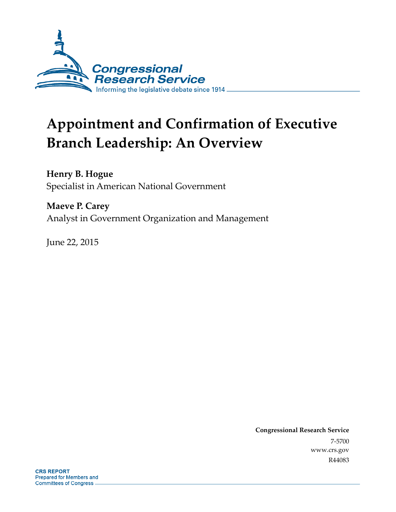

# **Appointment and Confirmation of Executive Branch Leadership: An Overview**

**Henry B. Hogue**  Specialist in American National Government

**Maeve P. Carey**  Analyst in Government Organization and Management

June 22, 2015

**Congressional Research Service**  7-5700 www.crs.gov R44083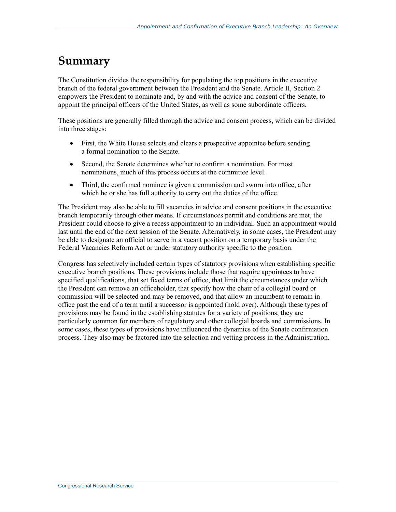### **Summary**

The Constitution divides the responsibility for populating the top positions in the executive branch of the federal government between the President and the Senate. Article II, Section 2 empowers the President to nominate and, by and with the advice and consent of the Senate, to appoint the principal officers of the United States, as well as some subordinate officers.

These positions are generally filled through the advice and consent process, which can be divided into three stages:

- First, the White House selects and clears a prospective appointee before sending a formal nomination to the Senate.
- Second, the Senate determines whether to confirm a nomination. For most nominations, much of this process occurs at the committee level.
- Third, the confirmed nominee is given a commission and sworn into office, after which he or she has full authority to carry out the duties of the office.

The President may also be able to fill vacancies in advice and consent positions in the executive branch temporarily through other means. If circumstances permit and conditions are met, the President could choose to give a recess appointment to an individual. Such an appointment would last until the end of the next session of the Senate. Alternatively, in some cases, the President may be able to designate an official to serve in a vacant position on a temporary basis under the Federal Vacancies Reform Act or under statutory authority specific to the position.

Congress has selectively included certain types of statutory provisions when establishing specific executive branch positions. These provisions include those that require appointees to have specified qualifications, that set fixed terms of office, that limit the circumstances under which the President can remove an officeholder, that specify how the chair of a collegial board or commission will be selected and may be removed, and that allow an incumbent to remain in office past the end of a term until a successor is appointed (hold over). Although these types of provisions may be found in the establishing statutes for a variety of positions, they are particularly common for members of regulatory and other collegial boards and commissions. In some cases, these types of provisions have influenced the dynamics of the Senate confirmation process. They also may be factored into the selection and vetting process in the Administration.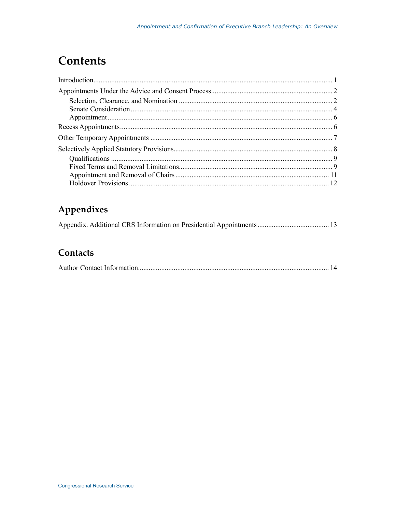# **Contents**

### Appendixes

#### Contacts

|--|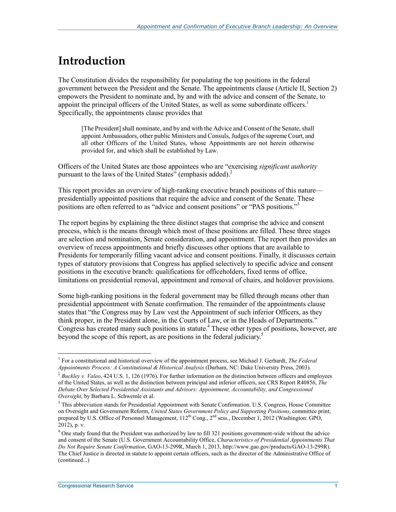## **Introduction**

The Constitution divides the responsibility for populating the top positions in the federal government between the President and the Senate. The appointments clause (Article II, Section 2) empowers the President to nominate and, by and with the advice and consent of the Senate, to appoint the principal officers of the United States, as well as some subordinate officers.<sup>1</sup> Specifically, the appointments clause provides that

[The President] shall nominate, and by and with the Advice and Consent of the Senate, shall appoint Ambassadors, other public Ministers and Consuls, Judges of the supreme Court, and all other Officers of the United States, whose Appointments are not herein otherwise provided for, and which shall be established by Law.

Officers of the United States are those appointees who are "exercising *significant authority* pursuant to the laws of the United States" (emphasis added). $^2$ 

This report provides an overview of high-ranking executive branch positions of this nature presidentially appointed positions that require the advice and consent of the Senate. These positions are often referred to as "advice and consent positions" or "PAS positions."<sup>3</sup>

The report begins by explaining the three distinct stages that comprise the advice and consent process, which is the means through which most of these positions are filled. These three stages are selection and nomination, Senate consideration, and appointment. The report then provides an overview of recess appointments and briefly discusses other options that are available to Presidents for temporarily filling vacant advice and consent positions. Finally, it discusses certain types of statutory provisions that Congress has applied selectively to specific advice and consent positions in the executive branch: qualifications for officeholders, fixed terms of office, limitations on presidential removal, appointment and removal of chairs, and holdover provisions.

Some high-ranking positions in the federal government may be filled through means other than presidential appointment with Senate confirmation. The remainder of the appointments clause states that "the Congress may by Law vest the Appointment of such inferior Officers, as they think proper, in the President alone, in the Courts of Law, or in the Heads of Departments." Congress has created many such positions in statute.<sup>4</sup> These other types of positions, however, are beyond the scope of this report, as are positions in the federal judiciary.<sup>5</sup>

<sup>&</sup>lt;u>.</u> 1 For a constitutional and historical overview of the appointment process, see Michael J. Gerhardt, *The Federal Appointments Process: A Constitutional & Historical Analysis* (Durham, NC: Duke University Press, 2003).

<sup>&</sup>lt;sup>2</sup> Buckley v. Valeo, 424 U.S. 1, 126 (1976). For further information on the distinction between officers and employees of the United States, as well as the distinction between principal and inferior officers, see CRS Report R40856, *The Debate Over Selected Presidential Assistants and Advisors: Appointment, Accountability, and Congressional Oversight*, by Barbara L. Schwemle et al.

<sup>&</sup>lt;sup>3</sup> This abbreviation stands for Presidential Appointment with Senate Confirmation. U.S. Congress, House Committee on Oversight and Government Reform, *United States Government Policy and Supporting Positions*, committee print, prepared by U.S. Office of Personnel Management,  $112^{th}$  Cong.,  $2^{nd}$  sess., December 1, 2012 (Washington: GPO, 2012), p. v.

<sup>&</sup>lt;sup>4</sup> One study found that the President was authorized by law to fill 321 positions government-wide without the advice and consent of the Senate (U.S. Government Accountability Office, *Characteristics of Presidential Appointments That Do Not Require Senate Confirmation*, GAO-13-299R, March 1, 2013, http://www.gao.gov/products/GAO-13-299R). The Chief Justice is directed in statute to appoint certain officers, such as the director of the Administrative Office of (continued...)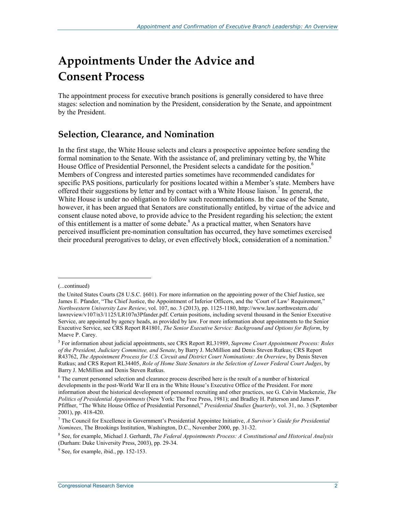# **Appointments Under the Advice and Consent Process**

The appointment process for executive branch positions is generally considered to have three stages: selection and nomination by the President, consideration by the Senate, and appointment by the President.

#### **Selection, Clearance, and Nomination**

In the first stage, the White House selects and clears a prospective appointee before sending the formal nomination to the Senate. With the assistance of, and preliminary vetting by, the White House Office of Presidential Personnel, the President selects a candidate for the position.<sup>6</sup> Members of Congress and interested parties sometimes have recommended candidates for specific PAS positions, particularly for positions located within a Member's state. Members have offered their suggestions by letter and by contact with a White House liaison.<sup>7</sup> In general, the White House is under no obligation to follow such recommendations. In the case of the Senate, however, it has been argued that Senators are constitutionally entitled, by virtue of the advice and consent clause noted above, to provide advice to the President regarding his selection; the extent of this entitlement is a matter of some debate. $8$  As a practical matter, when Senators have perceived insufficient pre-nomination consultation has occurred, they have sometimes exercised their procedural prerogatives to delay, or even effectively block, consideration of a nomination.<sup>9</sup>

<sup>(...</sup>continued)

the United States Courts (28 U.S.C. §601). For more information on the appointing power of the Chief Justice, see James E. Pfander, "The Chief Justice, the Appointment of Inferior Officers, and the 'Court of Law' Requirement," *Northwestern University Law Review*, vol. 107, no. 3 (2013), pp. 1125-1180, http://www.law.northwestern.edu/ lawreview/v107/n3/1125/LR107n3Pfander.pdf. Certain positions, including several thousand in the Senior Executive Service, are appointed by agency heads, as provided by law. For more information about appointments to the Senior Executive Service, see CRS Report R41801, *The Senior Executive Service: Background and Options for Reform*, by Maeve P. Carey.

<sup>5</sup> For information about judicial appointments, see CRS Report RL31989, *Supreme Court Appointment Process: Roles of the President, Judiciary Committee, and Senate*, by Barry J. McMillion and Denis Steven Rutkus; CRS Report R43762, *The Appointment Process for U.S. Circuit and District Court Nominations: An Overview*, by Denis Steven Rutkus; and CRS Report RL34405, *Role of Home State Senators in the Selection of Lower Federal Court Judges*, by Barry J. McMillion and Denis Steven Rutkus.

<sup>&</sup>lt;sup>6</sup> The current personnel selection and clearance process described here is the result of a number of historical developments in the post-World War II era in the White House's Executive Office of the President. For more information about the historical development of personnel recruiting and other practices, see G. Calvin Mackenzie, *The Politics of Presidential Appointments* (New York: The Free Press, 1981); and Bradley H. Patterson and James P. Pfiffner, "The White House Office of Presidential Personnel," *Presidential Studies Quarterly*, vol. 31, no. 3 (September 2001), pp. 418-420.

<sup>7</sup> The Council for Excellence in Government's Presidential Appointee Initiative, *A Survivor's Guide for Presidential Nominees*, The Brookings Institution, Washington, D.C., November 2000, pp. 31-32.

<sup>8</sup> See, for example, Michael J. Gerhardt, *The Federal Appointments Process: A Constitutional and Historical Analysis* (Durham: Duke University Press, 2003), pp. 29-34.

<sup>&</sup>lt;sup>9</sup> See, for example, ibid., pp. 152-153.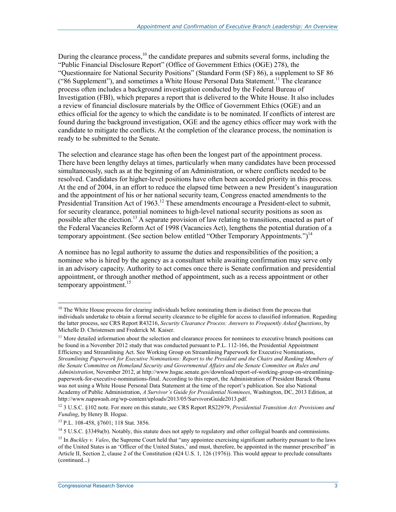During the clearance process, $10$  the candidate prepares and submits several forms, including the "Public Financial Disclosure Report" (Office of Government Ethics (OGE) 278), the "Questionnaire for National Security Positions" (Standard Form (SF) 86), a supplement to SF 86 ("86 Supplement"), and sometimes a White House Personal Data Statement.<sup>11</sup> The clearance process often includes a background investigation conducted by the Federal Bureau of Investigation (FBI), which prepares a report that is delivered to the White House. It also includes a review of financial disclosure materials by the Office of Government Ethics (OGE) and an ethics official for the agency to which the candidate is to be nominated. If conflicts of interest are found during the background investigation, OGE and the agency ethics officer may work with the candidate to mitigate the conflicts. At the completion of the clearance process, the nomination is ready to be submitted to the Senate.

The selection and clearance stage has often been the longest part of the appointment process. There have been lengthy delays at times, particularly when many candidates have been processed simultaneously, such as at the beginning of an Administration, or where conflicts needed to be resolved. Candidates for higher-level positions have often been accorded priority in this process. At the end of 2004, in an effort to reduce the elapsed time between a new President's inauguration and the appointment of his or her national security team, Congress enacted amendments to the Presidential Transition Act of 1963.<sup>12</sup> These amendments encourage a President-elect to submit, for security clearance, potential nominees to high-level national security positions as soon as possible after the election.<sup>13</sup> A separate provision of law relating to transitions, enacted as part of the Federal Vacancies Reform Act of 1998 (Vacancies Act), lengthens the potential duration of a temporary appointment. (See section below entitled "Other Temporary Appointments.")<sup>14</sup>

A nominee has no legal authority to assume the duties and responsibilities of the position; a nominee who is hired by the agency as a consultant while awaiting confirmation may serve only in an advisory capacity. Authority to act comes once there is Senate confirmation and presidential appointment, or through another method of appointment, such as a recess appointment or other temporary appointment.<sup>15</sup>

<u>.</u>

 $10$  The White House process for clearing individuals before nominating them is distinct from the process that individuals undertake to obtain a formal security clearance to be eligible for access to classified information. Regarding the latter process, see CRS Report R43216, *Security Clearance Process: Answers to Frequently Asked Questions*, by Michelle D. Christensen and Frederick M. Kaiser.

<sup>&</sup>lt;sup>11</sup> More detailed information about the selection and clearance process for nominees to executive branch positions can be found in a November 2012 study that was conducted pursuant to P.L. 112-166, the Presidential Appointment Efficiency and Streamlining Act. See Working Group on Streamlining Paperwork for Executive Nominations, *Streamlining Paperwork for Executive Nominations: Report to the President and the Chairs and Ranking Members of the Senate Committee on Homeland Security and Governmental Affairs and the Senate Committee on Rules and Administration*, November 2012, at http://www.hsgac.senate.gov/download/report-of-working-group-on-streamliningpaperwork-for-executive-nominations-final. According to this report, the Administration of President Barack Obama was not using a White House Personal Data Statement at the time of the report's publication. See also National Academy of Public Administration, *A Survivor's Guide for Presidential Nominees*, Washington, DC, 2013 Edition, at http://www.napawash.org/wp-content/uploads/2013/05/SurvivorsGuide2013.pdf.

<sup>12 3</sup> U.S.C. §102 note. For more on this statute, see CRS Report RS22979, *Presidential Transition Act: Provisions and Funding*, by Henry B. Hogue.

<sup>13</sup> P.L. 108-458, §7601; 118 Stat. 3856.

 $14$  5 U.S.C. §3349a(b). Notably, this statute does not apply to regulatory and other collegial boards and commissions.

<sup>&</sup>lt;sup>15</sup> In *Buckley v. Valeo*, the Supreme Court held that "any appointee exercising significant authority pursuant to the laws of the United States is an 'Officer of the United States,' and must, therefore, be appointed in the manner prescribed" in Article II, Section 2, clause 2 of the Constitution (424 U.S. 1, 126 (1976)). This would appear to preclude consultants (continued...)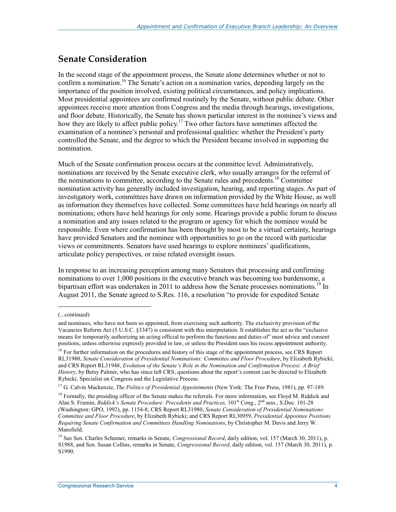#### **Senate Consideration**

In the second stage of the appointment process, the Senate alone determines whether or not to confirm a nomination.16 The Senate's action on a nomination varies, depending largely on the importance of the position involved, existing political circumstances, and policy implications. Most presidential appointees are confirmed routinely by the Senate, without public debate. Other appointees receive more attention from Congress and the media through hearings, investigations, and floor debate. Historically, the Senate has shown particular interest in the nominee's views and how they are likely to affect public policy.<sup>17</sup> Two other factors have sometimes affected the examination of a nominee's personal and professional qualities: whether the President's party controlled the Senate, and the degree to which the President became involved in supporting the nomination.

Much of the Senate confirmation process occurs at the committee level. Administratively, nominations are received by the Senate executive clerk, who usually arranges for the referral of the nominations to committee, according to the Senate rules and precedents.<sup>18</sup> Committee nomination activity has generally included investigation, hearing, and reporting stages. As part of investigatory work, committees have drawn on information provided by the White House, as well as information they themselves have collected. Some committees have held hearings on nearly all nominations; others have held hearings for only some. Hearings provide a public forum to discuss a nomination and any issues related to the program or agency for which the nominee would be responsible. Even where confirmation has been thought by most to be a virtual certainty, hearings have provided Senators and the nominee with opportunities to go on the record with particular views or commitments. Senators have used hearings to explore nominees' qualifications, articulate policy perspectives, or raise related oversight issues.

In response to an increasing perception among many Senators that processing and confirming nominations to over 1,000 positions in the executive branch was becoming too burdensome, a bipartisan effort was undertaken in 2011 to address how the Senate processes nominations.<sup>19</sup> In August 2011, the Senate agreed to S.Res. 116, a resolution "to provide for expedited Senate

<sup>(...</sup>continued)

and nominees, who have not been so appointed, from exercising such authority. The exclusivity provision of the Vacancies Reform Act (5 U.S.C. §3347) is consistent with this interpretation. It establishes the act as the "exclusive means for temporarily authorizing an acting official to perform the functions and duties of" most advice and consent positions, unless otherwise expressly provided in law, or unless the President uses his recess appointment authority.

<sup>&</sup>lt;sup>16</sup> For further information on the procedures and history of this stage of the appointment process, see CRS Report RL31980, *Senate Consideration of Presidential Nominations: Committee and Floor Procedure*, by Elizabeth Rybicki; and CRS Report RL31948, *Evolution of the Senate's Role in the Nomination and Confirmation Process: A Brief History*, by Betsy Palmer, who has since left CRS; questions about the report's content can be directed to Elizabeth Rybicki, Specialist on Congress and the Legislative Process.

<sup>&</sup>lt;sup>17</sup> G. Calvin Mackenzie, *The Politics of Presidential Appointments* (New York: The Free Press, 1981), pp. 97-189.

 $<sup>18</sup>$  Formally, the presiding officer of the Senate makes the referrals. For more information, see Floyd M. Riddick and</sup> Alan S. Frumin, *Riddick's Senate Procedure: Precedents and Practices*, 101<sup>st</sup> Cong., 2<sup>nd</sup> sess., S.Doc. 101-28 (Washington: GPO, 1992), pp. 1154-8; CRS Report RL31980, *Senate Consideration of Presidential Nominations: Committee and Floor Procedure*, by Elizabeth Rybicki; and CRS Report RL30959, *Presidential Appointee Positions Requiring Senate Confirmation and Committees Handling Nominations*, by Christopher M. Davis and Jerry W. Mansfield.

<sup>&</sup>lt;sup>19</sup> See Sen. Charles Schumer, remarks in Senate, *Congressional Record*, daily edition, vol. 157 (March 30, 2011), p. S1988, and Sen. Susan Collins, remarks in Senate, *Congressional Record*, daily edition, vol. 157 (March 30, 2011), p. S1990.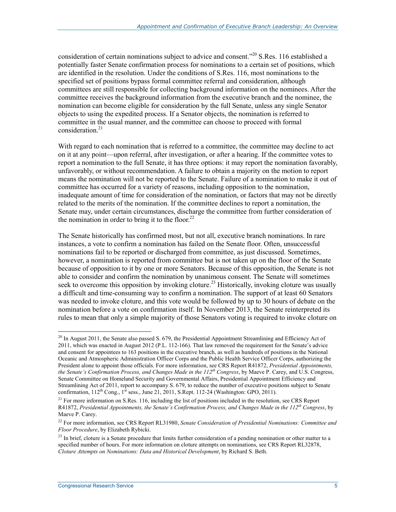consideration of certain nominations subject to advice and consent."<sup>20</sup> S.Res. 116 established a potentially faster Senate confirmation process for nominations to a certain set of positions, which are identified in the resolution. Under the conditions of S.Res. 116, most nominations to the specified set of positions bypass formal committee referral and consideration, although committees are still responsible for collecting background information on the nominees. After the committee receives the background information from the executive branch and the nominee, the nomination can become eligible for consideration by the full Senate, unless any single Senator objects to using the expedited process. If a Senator objects, the nomination is referred to committee in the usual manner, and the committee can choose to proceed with formal consideration.<sup>21</sup>

With regard to each nomination that is referred to a committee, the committee may decline to act on it at any point—upon referral, after investigation, or after a hearing. If the committee votes to report a nomination to the full Senate, it has three options: it may report the nomination favorably, unfavorably, or without recommendation. A failure to obtain a majority on the motion to report means the nomination will not be reported to the Senate. Failure of a nomination to make it out of committee has occurred for a variety of reasons, including opposition to the nomination, inadequate amount of time for consideration of the nomination, or factors that may not be directly related to the merits of the nomination. If the committee declines to report a nomination, the Senate may, under certain circumstances, discharge the committee from further consideration of the nomination in order to bring it to the floor.<sup>22</sup>

The Senate historically has confirmed most, but not all, executive branch nominations. In rare instances, a vote to confirm a nomination has failed on the Senate floor. Often, unsuccessful nominations fail to be reported or discharged from committee, as just discussed. Sometimes, however, a nomination is reported from committee but is not taken up on the floor of the Senate because of opposition to it by one or more Senators. Because of this opposition, the Senate is not able to consider and confirm the nomination by unanimous consent. The Senate will sometimes seek to overcome this opposition by invoking cloture.<sup>23</sup> Historically, invoking cloture was usually a difficult and time-consuming way to confirm a nomination. The support of at least 60 Senators was needed to invoke cloture, and this vote would be followed by up to 30 hours of debate on the nomination before a vote on confirmation itself. In November 2013, the Senate reinterpreted its rules to mean that only a simple majority of those Senators voting is required to invoke cloture on

 $^{20}$  In August 2011, the Senate also passed S. 679, the Presidential Appointment Streamlining and Efficiency Act of 2011, which was enacted in August 2012 (P.L. 112-166). That law removed the requirement for the Senate's advice and consent for appointees to 163 positions in the executive branch, as well as hundreds of positions in the National Oceanic and Atmospheric Administration Officer Corps and the Public Health Service Officer Corps, authorizing the President alone to appoint those officials. For more information, see CRS Report R41872, *Presidential Appointments, the Senate's Confirmation Process, and Changes Made in the 112th Congress*, by Maeve P. Carey, and U.S. Congress, Senate Committee on Homeland Security and Governmental Affairs, Presidential Appointment Efficiency and Streamlining Act of 2011, report to accompany S. 679, to reduce the number of executive positions subject to Senate confirmation,  $112^{th}$  Cong.,  $1^{st}$  sess., June 21, 2011, S.Rept. 112-24 (Washington: GPO, 2011).

<sup>&</sup>lt;sup>21</sup> For more information on S.Res. 116, including the list of positions included in the resolution, see CRS Report R41872, *Presidential Appointments, the Senate's Confirmation Process, and Changes Made in the 112th Congress*, by Maeve P. Carey.

<sup>22</sup> For more information, see CRS Report RL31980, *Senate Consideration of Presidential Nominations: Committee and Floor Procedure*, by Elizabeth Rybicki.

<sup>&</sup>lt;sup>23</sup> In brief, cloture is a Senate procedure that limits further consideration of a pending nomination or other matter to a specified number of hours. For more information on cloture attempts on nominations, see CRS Report RL32878, *Cloture Attempts on Nominations: Data and Historical Development*, by Richard S. Beth.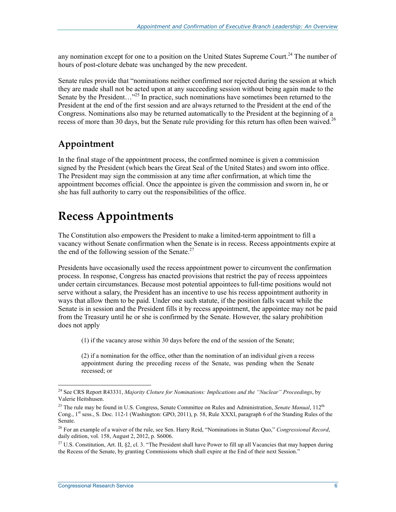any nomination except for one to a position on the United States Supreme Court.<sup>24</sup> The number of hours of post-cloture debate was unchanged by the new precedent.

Senate rules provide that "nominations neither confirmed nor rejected during the session at which they are made shall not be acted upon at any succeeding session without being again made to the Senate by the President...<sup>25</sup> In practice, such nominations have sometimes been returned to the President at the end of the first session and are always returned to the President at the end of the Congress. Nominations also may be returned automatically to the President at the beginning of a recess of more than 30 days, but the Senate rule providing for this return has often been waived.<sup>26</sup>

#### **Appointment**

In the final stage of the appointment process, the confirmed nominee is given a commission signed by the President (which bears the Great Seal of the United States) and sworn into office. The President may sign the commission at any time after confirmation, at which time the appointment becomes official. Once the appointee is given the commission and sworn in, he or she has full authority to carry out the responsibilities of the office.

### **Recess Appointments**

The Constitution also empowers the President to make a limited-term appointment to fill a vacancy without Senate confirmation when the Senate is in recess. Recess appointments expire at the end of the following session of the Senate.<sup>27</sup>

Presidents have occasionally used the recess appointment power to circumvent the confirmation process. In response, Congress has enacted provisions that restrict the pay of recess appointees under certain circumstances. Because most potential appointees to full-time positions would not serve without a salary, the President has an incentive to use his recess appointment authority in ways that allow them to be paid. Under one such statute, if the position falls vacant while the Senate is in session and the President fills it by recess appointment, the appointee may not be paid from the Treasury until he or she is confirmed by the Senate. However, the salary prohibition does not apply

(1) if the vacancy arose within 30 days before the end of the session of the Senate;

(2) if a nomination for the office, other than the nomination of an individual given a recess appointment during the preceding recess of the Senate, was pending when the Senate recessed; or

<sup>24</sup> See CRS Report R43331, *Majority Cloture for Nominations: Implications and the "Nuclear" Proceedings*, by Valerie Heitshusen.

<sup>&</sup>lt;sup>25</sup> The rule may be found in U.S. Congress, Senate Committee on Rules and Administration, *Senate Manual*, 112<sup>th</sup> Cong., 1<sup>st</sup> sess., S. Doc. 112-1 (Washington: GPO, 2011), p. 58, Rule XXXI, paragraph 6 of the Standing Rules of the Senate.

<sup>26</sup> For an example of a waiver of the rule, see Sen. Harry Reid, "Nominations in Status Quo," *Congressional Record*, daily edition, vol. 158, August 2, 2012, p. S6006.

<sup>&</sup>lt;sup>27</sup> U.S. Constitution, Art. II, §2, cl. 3. "The President shall have Power to fill up all Vacancies that may happen during the Recess of the Senate, by granting Commissions which shall expire at the End of their next Session."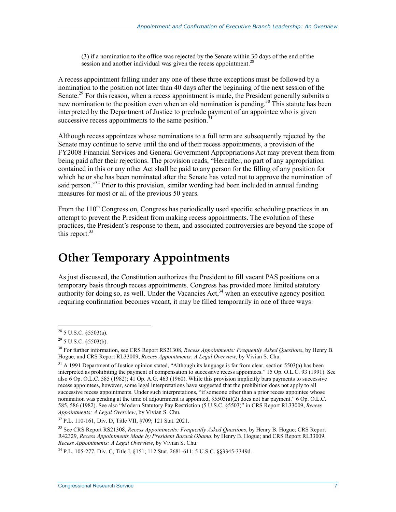(3) if a nomination to the office was rejected by the Senate within 30 days of the end of the session and another individual was given the recess appointment.<sup>28</sup>

A recess appointment falling under any one of these three exceptions must be followed by a nomination to the position not later than 40 days after the beginning of the next session of the Senate.<sup>29</sup> For this reason, when a recess appointment is made, the President generally submits a new nomination to the position even when an old nomination is pending.<sup>30</sup> This statute has been interpreted by the Department of Justice to preclude payment of an appointee who is given successive recess appointments to the same position.<sup>3</sup>

Although recess appointees whose nominations to a full term are subsequently rejected by the Senate may continue to serve until the end of their recess appointments, a provision of the FY2008 Financial Services and General Government Appropriations Act may prevent them from being paid after their rejections. The provision reads, "Hereafter, no part of any appropriation contained in this or any other Act shall be paid to any person for the filling of any position for which he or she has been nominated after the Senate has voted not to approve the nomination of said person."<sup>32</sup> Prior to this provision, similar wording had been included in annual funding measures for most or all of the previous 50 years.

From the 110<sup>th</sup> Congress on, Congress has periodically used specific scheduling practices in an attempt to prevent the President from making recess appointments. The evolution of these practices, the President's response to them, and associated controversies are beyond the scope of this report. $33$ 

### **Other Temporary Appointments**

As just discussed, the Constitution authorizes the President to fill vacant PAS positions on a temporary basis through recess appointments. Congress has provided more limited statutory authority for doing so, as well. Under the Vacancies Act,  $34$  when an executive agency position requiring confirmation becomes vacant, it may be filled temporarily in one of three ways:

 $^{28}$  5 U.S.C. §5503(a).

 $29$  5 U.S.C. §5503(b).

<sup>30</sup> For further information, see CRS Report RS21308, *Recess Appointments: Frequently Asked Questions*, by Henry B. Hogue; and CRS Report RL33009, *Recess Appointments: A Legal Overview*, by Vivian S. Chu.

<sup>&</sup>lt;sup>31</sup> A 1991 Department of Justice opinion stated, "Although its language is far from clear, section 5503(a) has been interpreted as prohibiting the payment of compensation to successive recess appointees." 15 Op. O.L.C. 93 (1991). See also 6 Op. O.L.C. 585 (1982); 41 Op. A.G. 463 (1960). While this provision implicitly bars payments to successive recess appointees, however, some legal interpretations have suggested that the prohibition does not apply to all successive recess appointments. Under such interpretations, "if someone other than a prior recess appointee whose nomination was pending at the time of adjournment is appointed,  $\S 5503(a)(2)$  does not bar payment." 6 Op. O.L.C. 585, 586 (1982). See also "Modern Statutory Pay Restriction (5 U.S.C. §5503)" in CRS Report RL33009, *Recess Appointments: A Legal Overview*, by Vivian S. Chu.

<sup>32</sup> P.L. 110-161, Div. D, Title VII, §709; 121 Stat. 2021.

<sup>33</sup> See CRS Report RS21308, *Recess Appointments: Frequently Asked Questions*, by Henry B. Hogue; CRS Report R42329, *Recess Appointments Made by President Barack Obama*, by Henry B. Hogue; and CRS Report RL33009, *Recess Appointments: A Legal Overview*, by Vivian S. Chu.

<sup>34</sup> P.L. 105-277, Div. C, Title I, §151; 112 Stat. 2681-611; 5 U.S.C. §§3345-3349d.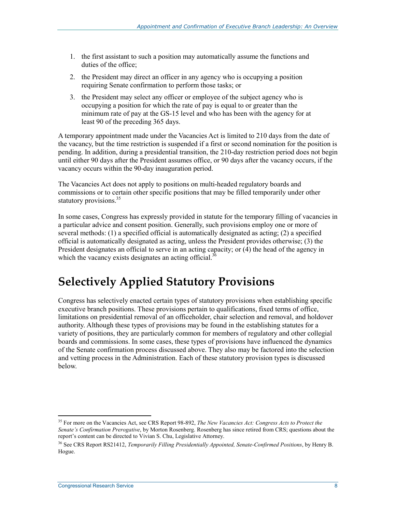- 1. the first assistant to such a position may automatically assume the functions and duties of the office;
- 2. the President may direct an officer in any agency who is occupying a position requiring Senate confirmation to perform those tasks; or
- 3. the President may select any officer or employee of the subject agency who is occupying a position for which the rate of pay is equal to or greater than the minimum rate of pay at the GS-15 level and who has been with the agency for at least 90 of the preceding 365 days.

A temporary appointment made under the Vacancies Act is limited to 210 days from the date of the vacancy, but the time restriction is suspended if a first or second nomination for the position is pending. In addition, during a presidential transition, the 210-day restriction period does not begin until either 90 days after the President assumes office, or 90 days after the vacancy occurs, if the vacancy occurs within the 90-day inauguration period.

The Vacancies Act does not apply to positions on multi-headed regulatory boards and commissions or to certain other specific positions that may be filled temporarily under other statutory provisions.<sup>35</sup>

In some cases, Congress has expressly provided in statute for the temporary filling of vacancies in a particular advice and consent position. Generally, such provisions employ one or more of several methods: (1) a specified official is automatically designated as acting; (2) a specified official is automatically designated as acting, unless the President provides otherwise; (3) the President designates an official to serve in an acting capacity; or  $(4)$  the head of the agency in which the vacancy exists designates an acting official.<sup>36</sup>

### **Selectively Applied Statutory Provisions**

Congress has selectively enacted certain types of statutory provisions when establishing specific executive branch positions. These provisions pertain to qualifications, fixed terms of office, limitations on presidential removal of an officeholder, chair selection and removal, and holdover authority. Although these types of provisions may be found in the establishing statutes for a variety of positions, they are particularly common for members of regulatory and other collegial boards and commissions. In some cases, these types of provisions have influenced the dynamics of the Senate confirmation process discussed above. They also may be factored into the selection and vetting process in the Administration. Each of these statutory provision types is discussed below.

<sup>35</sup> For more on the Vacancies Act, see CRS Report 98-892, *The New Vacancies Act: Congress Acts to Protect the Senate's Confirmation Prerogative*, by Morton Rosenberg. Rosenberg has since retired from CRS; questions about the report's content can be directed to Vivian S. Chu, Legislative Attorney.

<sup>36</sup> See CRS Report RS21412, *Temporarily Filling Presidentially Appointed, Senate-Confirmed Positions*, by Henry B. Hogue.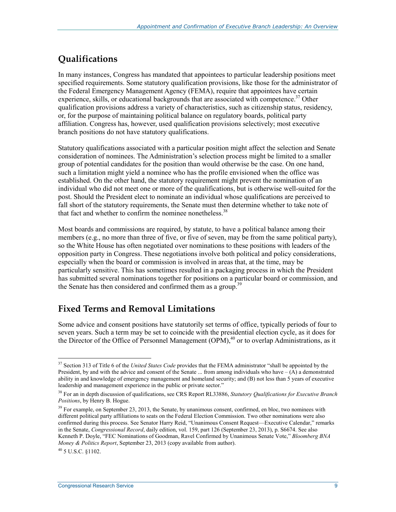### **Qualifications**

In many instances, Congress has mandated that appointees to particular leadership positions meet specified requirements. Some statutory qualification provisions, like those for the administrator of the Federal Emergency Management Agency (FEMA), require that appointees have certain experience, skills, or educational backgrounds that are associated with competence.<sup>37</sup> Other qualification provisions address a variety of characteristics, such as citizenship status, residency, or, for the purpose of maintaining political balance on regulatory boards, political party affiliation. Congress has, however, used qualification provisions selectively; most executive branch positions do not have statutory qualifications.

Statutory qualifications associated with a particular position might affect the selection and Senate consideration of nominees. The Administration's selection process might be limited to a smaller group of potential candidates for the position than would otherwise be the case. On one hand, such a limitation might yield a nominee who has the profile envisioned when the office was established. On the other hand, the statutory requirement might prevent the nomination of an individual who did not meet one or more of the qualifications, but is otherwise well-suited for the post. Should the President elect to nominate an individual whose qualifications are perceived to fall short of the statutory requirements, the Senate must then determine whether to take note of that fact and whether to confirm the nominee nonetheless.<sup>38</sup>

Most boards and commissions are required, by statute, to have a political balance among their members (e.g., no more than three of five, or five of seven, may be from the same political party), so the White House has often negotiated over nominations to these positions with leaders of the opposition party in Congress. These negotiations involve both political and policy considerations, especially when the board or commission is involved in areas that, at the time, may be particularly sensitive. This has sometimes resulted in a packaging process in which the President has submitted several nominations together for positions on a particular board or commission, and the Senate has then considered and confirmed them as a group.<sup>39</sup>

### **Fixed Terms and Removal Limitations**

Some advice and consent positions have statutorily set terms of office, typically periods of four to seven years. Such a term may be set to coincide with the presidential election cycle, as it does for the Director of the Office of Personnel Management  $(OPM)$ ,<sup>40</sup> or to overlap Administrations, as it

<u>.</u>

<sup>37</sup> Section 313 of Title 6 of the *United States Code* provides that the FEMA administrator "shall be appointed by the President, by and with the advice and consent of the Senate  $\ldots$  from among individuals who have  $-(A)$  a demonstrated ability in and knowledge of emergency management and homeland security; and (B) not less than 5 years of executive leadership and management experience in the public or private sector."

<sup>38</sup> For an in depth discussion of qualifications, see CRS Report RL33886, *Statutory Qualifications for Executive Branch Positions*, by Henry B. Hogue.

<sup>&</sup>lt;sup>39</sup> For example, on September 23, 2013, the Senate, by unanimous consent, confirmed, en bloc, two nominees with different political party affiliations to seats on the Federal Election Commission. Two other nominations were also confirmed during this process. See Senator Harry Reid, "Unanimous Consent Request—Executive Calendar," remarks in the Senate, *Congressional Record*, daily edition, vol. 159, part 126 (September 23, 2013), p. S6674. See also Kenneth P. Doyle, "FEC Nominations of Goodman, Ravel Confirmed by Unanimous Senate Vote," *Bloomberg BNA Money & Politics Report*, September 23, 2013 (copy available from author).

 $^{40}$  5 U.S.C. 81102.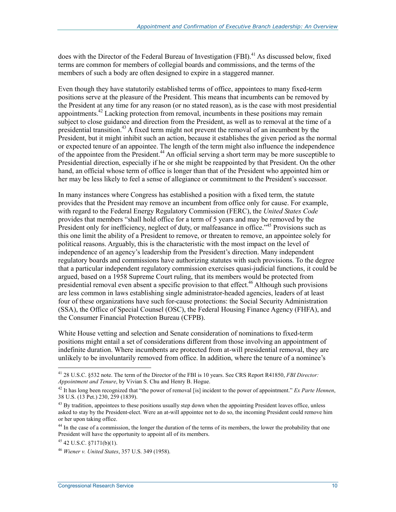does with the Director of the Federal Bureau of Investigation (FBI).<sup>41</sup> As discussed below, fixed terms are common for members of collegial boards and commissions, and the terms of the members of such a body are often designed to expire in a staggered manner.

Even though they have statutorily established terms of office, appointees to many fixed-term positions serve at the pleasure of the President. This means that incumbents can be removed by the President at any time for any reason (or no stated reason), as is the case with most presidential appointments.<sup>42</sup> Lacking protection from removal, incumbents in these positions may remain subject to close guidance and direction from the President, as well as to removal at the time of a presidential transition.<sup>43</sup> A fixed term might not prevent the removal of an incumbent by the President, but it might inhibit such an action, because it establishes the given period as the normal or expected tenure of an appointee. The length of the term might also influence the independence of the appointee from the President.44 An official serving a short term may be more susceptible to Presidential direction, especially if he or she might be reappointed by that President. On the other hand, an official whose term of office is longer than that of the President who appointed him or her may be less likely to feel a sense of allegiance or commitment to the President's successor.

In many instances where Congress has established a position with a fixed term, the statute provides that the President may remove an incumbent from office only for cause. For example, with regard to the Federal Energy Regulatory Commission (FERC), the *United States Code*  provides that members "shall hold office for a term of 5 years and may be removed by the President only for inefficiency, neglect of duty, or malfeasance in office."<sup>45</sup> Provisions such as this one limit the ability of a President to remove, or threaten to remove, an appointee solely for political reasons. Arguably, this is the characteristic with the most impact on the level of independence of an agency's leadership from the President's direction. Many independent regulatory boards and commissions have authorizing statutes with such provisions. To the degree that a particular independent regulatory commission exercises quasi-judicial functions, it could be argued, based on a 1958 Supreme Court ruling, that its members would be protected from presidential removal even absent a specific provision to that effect.<sup>46</sup> Although such provisions are less common in laws establishing single administrator-headed agencies, leaders of at least four of these organizations have such for-cause protections: the Social Security Administration (SSA), the Office of Special Counsel (OSC), the Federal Housing Finance Agency (FHFA), and the Consumer Financial Protection Bureau (CFPB).

White House vetting and selection and Senate consideration of nominations to fixed-term positions might entail a set of considerations different from those involving an appointment of indefinite duration. Where incumbents are protected from at-will presidential removal, they are unlikely to be involuntarily removed from office. In addition, where the tenure of a nominee's

<sup>&</sup>lt;u>.</u> 41 28 U.S.C. §532 note. The term of the Director of the FBI is 10 years. See CRS Report R41850, *FBI Director: Appointment and Tenure*, by Vivian S. Chu and Henry B. Hogue.

<sup>42</sup> It has long been recognized that "the power of removal [is] incident to the power of appointment." *Ex Parte Hennen*, 38 U.S. (13 Pet.) 230, 259 (1839).

 $43$  By tradition, appointees to these positions usually step down when the appointing President leaves office, unless asked to stay by the President-elect. Were an at-will appointee not to do so, the incoming President could remove him or her upon taking office.

<sup>&</sup>lt;sup>44</sup> In the case of a commission, the longer the duration of the terms of its members, the lower the probability that one President will have the opportunity to appoint all of its members.

 $45$  42 U.S.C.  $87171(b)(1)$ .

<sup>46</sup> *Wiener v. United States*, 357 U.S. 349 (1958).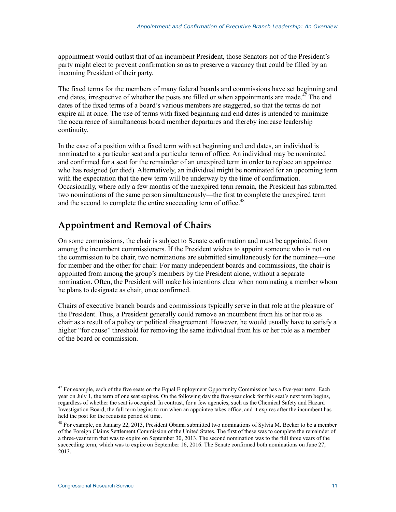appointment would outlast that of an incumbent President, those Senators not of the President's party might elect to prevent confirmation so as to preserve a vacancy that could be filled by an incoming President of their party.

The fixed terms for the members of many federal boards and commissions have set beginning and end dates, irrespective of whether the posts are filled or when appointments are made.<sup> $47$ </sup> The end dates of the fixed terms of a board's various members are staggered, so that the terms do not expire all at once. The use of terms with fixed beginning and end dates is intended to minimize the occurrence of simultaneous board member departures and thereby increase leadership continuity.

In the case of a position with a fixed term with set beginning and end dates, an individual is nominated to a particular seat and a particular term of office. An individual may be nominated and confirmed for a seat for the remainder of an unexpired term in order to replace an appointee who has resigned (or died). Alternatively, an individual might be nominated for an upcoming term with the expectation that the new term will be underway by the time of confirmation. Occasionally, where only a few months of the unexpired term remain, the President has submitted two nominations of the same person simultaneously—the first to complete the unexpired term and the second to complete the entire succeeding term of office.<sup>48</sup>

#### **Appointment and Removal of Chairs**

On some commissions, the chair is subject to Senate confirmation and must be appointed from among the incumbent commissioners. If the President wishes to appoint someone who is not on the commission to be chair, two nominations are submitted simultaneously for the nominee—one for member and the other for chair. For many independent boards and commissions, the chair is appointed from among the group's members by the President alone, without a separate nomination. Often, the President will make his intentions clear when nominating a member whom he plans to designate as chair, once confirmed.

Chairs of executive branch boards and commissions typically serve in that role at the pleasure of the President. Thus, a President generally could remove an incumbent from his or her role as chair as a result of a policy or political disagreement. However, he would usually have to satisfy a higher "for cause" threshold for removing the same individual from his or her role as a member of the board or commission.

<sup>1</sup>  $47$  For example, each of the five seats on the Equal Employment Opportunity Commission has a five-year term. Each year on July 1, the term of one seat expires. On the following day the five-year clock for this seat's next term begins, regardless of whether the seat is occupied. In contrast, for a few agencies, such as the Chemical Safety and Hazard Investigation Board, the full term begins to run when an appointee takes office, and it expires after the incumbent has held the post for the requisite period of time.

<sup>&</sup>lt;sup>48</sup> For example, on January 22, 2013, President Obama submitted two nominations of Sylvia M. Becker to be a member of the Foreign Claims Settlement Commission of the United States. The first of these was to complete the remainder of a three-year term that was to expire on September 30, 2013. The second nomination was to the full three years of the succeeding term, which was to expire on September 16, 2016. The Senate confirmed both nominations on June 27, 2013.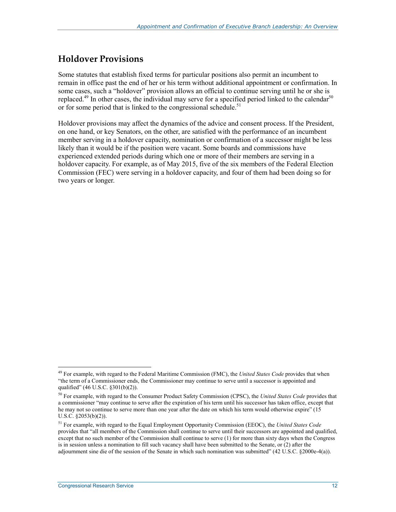### **Holdover Provisions**

Some statutes that establish fixed terms for particular positions also permit an incumbent to remain in office past the end of her or his term without additional appointment or confirmation. In some cases, such a "holdover" provision allows an official to continue serving until he or she is replaced.<sup>49</sup> In other cases, the individual may serve for a specified period linked to the calendar<sup>50</sup> or for some period that is linked to the congressional schedule.<sup>51</sup>

Holdover provisions may affect the dynamics of the advice and consent process. If the President, on one hand, or key Senators, on the other, are satisfied with the performance of an incumbent member serving in a holdover capacity, nomination or confirmation of a successor might be less likely than it would be if the position were vacant. Some boards and commissions have experienced extended periods during which one or more of their members are serving in a holdover capacity. For example, as of May 2015, five of the six members of the Federal Election Commission (FEC) were serving in a holdover capacity, and four of them had been doing so for two years or longer.

<sup>49</sup> For example, with regard to the Federal Maritime Commission (FMC), the *United States Code* provides that when "the term of a Commissioner ends, the Commissioner may continue to serve until a successor is appointed and qualified" (46 U.S.C. §301(b)(2)).

<sup>50</sup> For example, with regard to the Consumer Product Safety Commission (CPSC), the *United States Code* provides that a commissioner "may continue to serve after the expiration of his term until his successor has taken office, except that he may not so continue to serve more than one year after the date on which his term would otherwise expire" (15 U.S.C. §2053(b)(2)).

<sup>51</sup> For example, with regard to the Equal Employment Opportunity Commission (EEOC), the *United States Code*  provides that "all members of the Commission shall continue to serve until their successors are appointed and qualified, except that no such member of the Commission shall continue to serve (1) for more than sixty days when the Congress is in session unless a nomination to fill such vacancy shall have been submitted to the Senate, or (2) after the adjournment sine die of the session of the Senate in which such nomination was submitted" (42 U.S.C. §2000e-4(a)).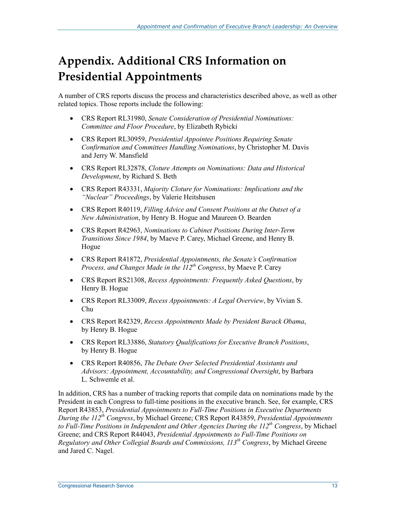# **Appendix. Additional CRS Information on Presidential Appointments**

A number of CRS reports discuss the process and characteristics described above, as well as other related topics. Those reports include the following:

- CRS Report RL31980, *Senate Consideration of Presidential Nominations: Committee and Floor Procedure*, by Elizabeth Rybicki
- CRS Report RL30959, *Presidential Appointee Positions Requiring Senate Confirmation and Committees Handling Nominations*, by Christopher M. Davis and Jerry W. Mansfield
- CRS Report RL32878, *Cloture Attempts on Nominations: Data and Historical Development*, by Richard S. Beth
- CRS Report R43331, *Majority Cloture for Nominations: Implications and the "Nuclear" Proceedings*, by Valerie Heitshusen
- CRS Report R40119, *Filling Advice and Consent Positions at the Outset of a New Administration*, by Henry B. Hogue and Maureen O. Bearden
- CRS Report R42963, *Nominations to Cabinet Positions During Inter-Term Transitions Since 1984*, by Maeve P. Carey, Michael Greene, and Henry B. Hogue
- CRS Report R41872, *Presidential Appointments, the Senate's Confirmation Process, and Changes Made in the 112th Congress*, by Maeve P. Carey
- CRS Report RS21308, *Recess Appointments: Frequently Asked Questions*, by Henry B. Hogue
- CRS Report RL33009, *Recess Appointments: A Legal Overview*, by Vivian S. Chu
- CRS Report R42329, *Recess Appointments Made by President Barack Obama*, by Henry B. Hogue
- CRS Report RL33886, *Statutory Qualifications for Executive Branch Positions*, by Henry B. Hogue
- CRS Report R40856, *The Debate Over Selected Presidential Assistants and Advisors: Appointment, Accountability, and Congressional Oversight*, by Barbara L. Schwemle et al.

In addition, CRS has a number of tracking reports that compile data on nominations made by the President in each Congress to full-time positions in the executive branch. See, for example, CRS Report R43853, *Presidential Appointments to Full-Time Positions in Executive Departments During the 112th Congress*, by Michael Greene; CRS Report R43859, *Presidential Appointments to Full-Time Positions in Independent and Other Agencies During the 112th Congress*, by Michael Greene; and CRS Report R44043, *Presidential Appointments to Full-Time Positions on Regulatory and Other Collegial Boards and Commissions, 113th Congress*, by Michael Greene and Jared C. Nagel.